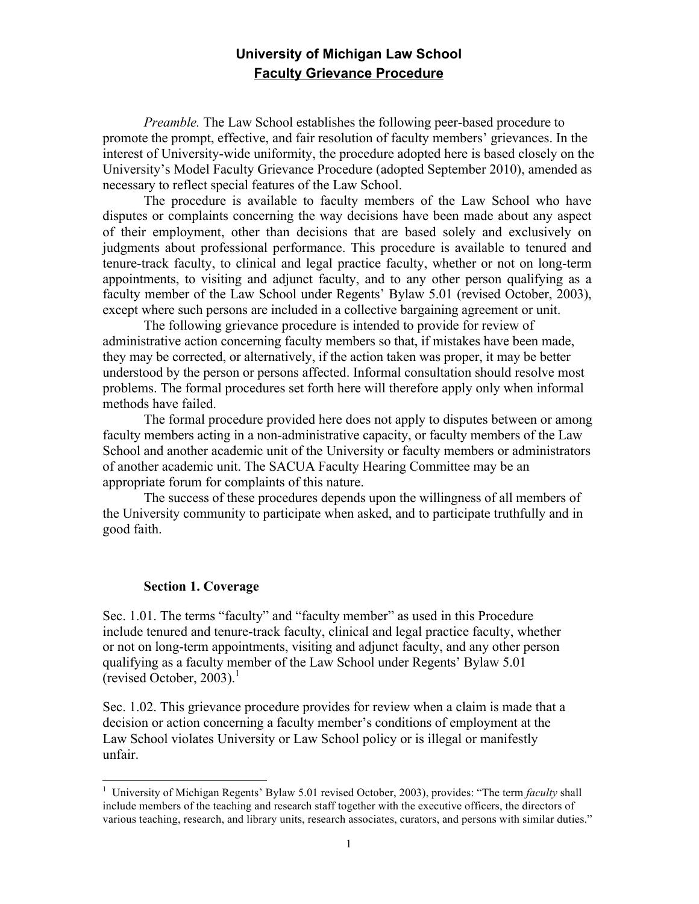# **University of Michigan Law School Faculty Grievance Procedure**

*Preamble.* The Law School establishes the following peer-based procedure to promote the prompt, effective, and fair resolution of faculty members' grievances. In the interest of University-wide uniformity, the procedure adopted here is based closely on the University's Model Faculty Grievance Procedure (adopted September 2010), amended as necessary to reflect special features of the Law School.

The procedure is available to faculty members of the Law School who have disputes or complaints concerning the way decisions have been made about any aspect of their employment, other than decisions that are based solely and exclusively on judgments about professional performance. This procedure is available to tenured and tenure-track faculty, to clinical and legal practice faculty, whether or not on long-term appointments, to visiting and adjunct faculty, and to any other person qualifying as a faculty member of the Law School under Regents' Bylaw 5.01 (revised October, 2003), except where such persons are included in a collective bargaining agreement or unit.

The following grievance procedure is intended to provide for review of administrative action concerning faculty members so that, if mistakes have been made, they may be corrected, or alternatively, if the action taken was proper, it may be better understood by the person or persons affected. Informal consultation should resolve most problems. The formal procedures set forth here will therefore apply only when informal methods have failed.

The formal procedure provided here does not apply to disputes between or among faculty members acting in a non-administrative capacity, or faculty members of the Law School and another academic unit of the University or faculty members or administrators of another academic unit. The SACUA Faculty Hearing Committee may be an appropriate forum for complaints of this nature.

The success of these procedures depends upon the willingness of all members of the University community to participate when asked, and to participate truthfully and in good faith.

### **Section 1. Coverage**

Sec. 1.01. The terms "faculty" and "faculty member" as used in this Procedure include tenured and tenure-track faculty, clinical and legal practice faculty, whether or not on long-term appointments, visiting and adjunct faculty, and any other person qualifying as a faculty member of the Law School under Regents' Bylaw 5.01 (revised October, 2003). $^1$ 

Sec. 1.02. This grievance procedure provides for review when a claim is made that a decision or action concerning a faculty member's conditions of employment at the Law School violates University or Law School policy or is illegal or manifestly unfair.

<sup>&</sup>lt;sup>1</sup> University of Michigan Regents' Bylaw 5.01 revised October, 2003), provides: "The term *faculty* shall include members of the teaching and research staff together with the executive officers, the directors of various teaching, research, and library units, research associates, curators, and persons with similar duties."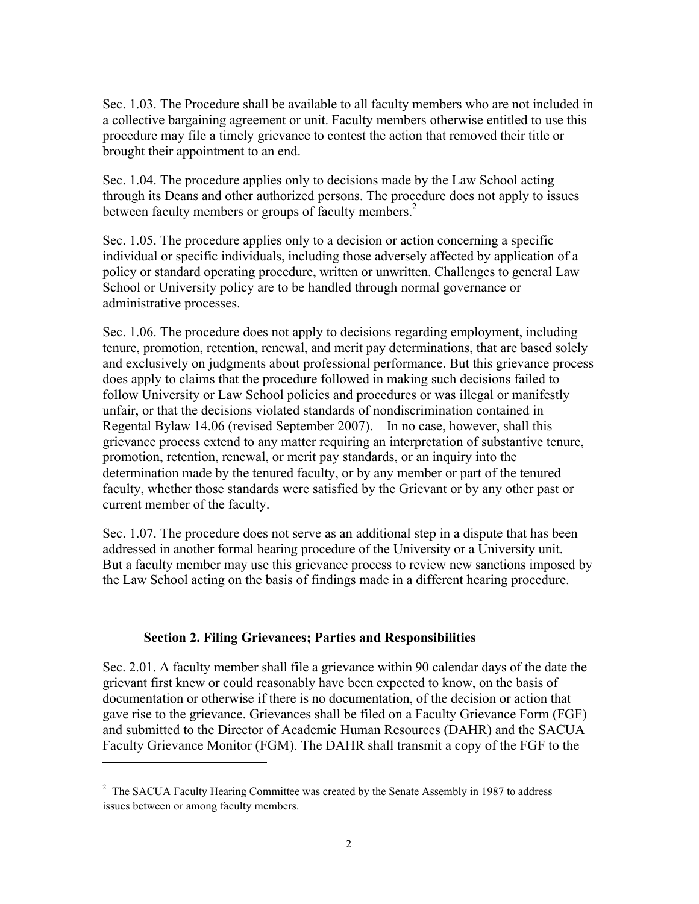Sec. 1.03. The Procedure shall be available to all faculty members who are not included in a collective bargaining agreement or unit. Faculty members otherwise entitled to use this procedure may file a timely grievance to contest the action that removed their title or brought their appointment to an end.

Sec. 1.04. The procedure applies only to decisions made by the Law School acting through its Deans and other authorized persons. The procedure does not apply to issues between faculty members or groups of faculty members.<sup>2</sup>

Sec. 1.05. The procedure applies only to a decision or action concerning a specific individual or specific individuals, including those adversely affected by application of a policy or standard operating procedure, written or unwritten. Challenges to general Law School or University policy are to be handled through normal governance or administrative processes.

Sec. 1.06. The procedure does not apply to decisions regarding employment, including tenure, promotion, retention, renewal, and merit pay determinations, that are based solely and exclusively on judgments about professional performance. But this grievance process does apply to claims that the procedure followed in making such decisions failed to follow University or Law School policies and procedures or was illegal or manifestly unfair, or that the decisions violated standards of nondiscrimination contained in Regental Bylaw 14.06 (revised September 2007). In no case, however, shall this grievance process extend to any matter requiring an interpretation of substantive tenure, promotion, retention, renewal, or merit pay standards, or an inquiry into the determination made by the tenured faculty, or by any member or part of the tenured faculty, whether those standards were satisfied by the Grievant or by any other past or current member of the faculty.

Sec. 1.07. The procedure does not serve as an additional step in a dispute that has been addressed in another formal hearing procedure of the University or a University unit. But a faculty member may use this grievance process to review new sanctions imposed by the Law School acting on the basis of findings made in a different hearing procedure.

### **Section 2. Filing Grievances; Parties and Responsibilities**

 $\overline{a}$ 

Sec. 2.01. A faculty member shall file a grievance within 90 calendar days of the date the grievant first knew or could reasonably have been expected to know, on the basis of documentation or otherwise if there is no documentation, of the decision or action that gave rise to the grievance. Grievances shall be filed on a Faculty Grievance Form (FGF) and submitted to the Director of Academic Human Resources (DAHR) and the SACUA Faculty Grievance Monitor (FGM). The DAHR shall transmit a copy of the FGF to the

 $2$  The SACUA Faculty Hearing Committee was created by the Senate Assembly in 1987 to address issues between or among faculty members.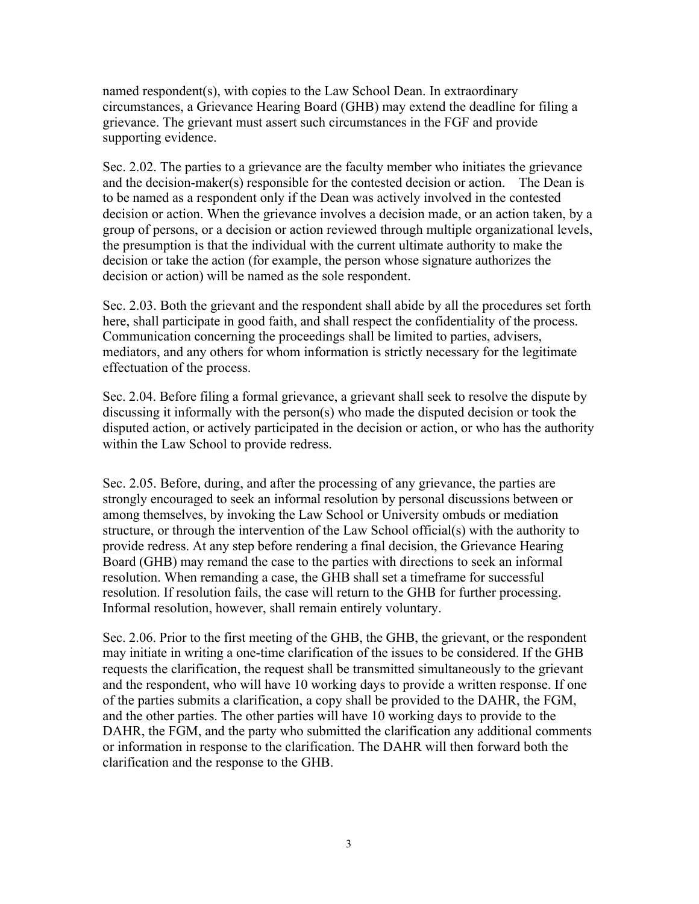named respondent(s), with copies to the Law School Dean. In extraordinary circumstances, a Grievance Hearing Board (GHB) may extend the deadline for filing a grievance. The grievant must assert such circumstances in the FGF and provide supporting evidence.

Sec. 2.02. The parties to a grievance are the faculty member who initiates the grievance and the decision-maker(s) responsible for the contested decision or action. The Dean is to be named as a respondent only if the Dean was actively involved in the contested decision or action. When the grievance involves a decision made, or an action taken, by a group of persons, or a decision or action reviewed through multiple organizational levels, the presumption is that the individual with the current ultimate authority to make the decision or take the action (for example, the person whose signature authorizes the decision or action) will be named as the sole respondent.

Sec. 2.03. Both the grievant and the respondent shall abide by all the procedures set forth here, shall participate in good faith, and shall respect the confidentiality of the process. Communication concerning the proceedings shall be limited to parties, advisers, mediators, and any others for whom information is strictly necessary for the legitimate effectuation of the process.

Sec. 2.04. Before filing a formal grievance, a grievant shall seek to resolve the dispute by discussing it informally with the person(s) who made the disputed decision or took the disputed action, or actively participated in the decision or action, or who has the authority within the Law School to provide redress.

Sec. 2.05. Before, during, and after the processing of any grievance, the parties are strongly encouraged to seek an informal resolution by personal discussions between or among themselves, by invoking the Law School or University ombuds or mediation structure, or through the intervention of the Law School official(s) with the authority to provide redress. At any step before rendering a final decision, the Grievance Hearing Board (GHB) may remand the case to the parties with directions to seek an informal resolution. When remanding a case, the GHB shall set a timeframe for successful resolution. If resolution fails, the case will return to the GHB for further processing. Informal resolution, however, shall remain entirely voluntary.

Sec. 2.06. Prior to the first meeting of the GHB, the GHB, the grievant, or the respondent may initiate in writing a one-time clarification of the issues to be considered. If the GHB requests the clarification, the request shall be transmitted simultaneously to the grievant and the respondent, who will have 10 working days to provide a written response. If one of the parties submits a clarification, a copy shall be provided to the DAHR, the FGM, and the other parties. The other parties will have 10 working days to provide to the DAHR, the FGM, and the party who submitted the clarification any additional comments or information in response to the clarification. The DAHR will then forward both the clarification and the response to the GHB.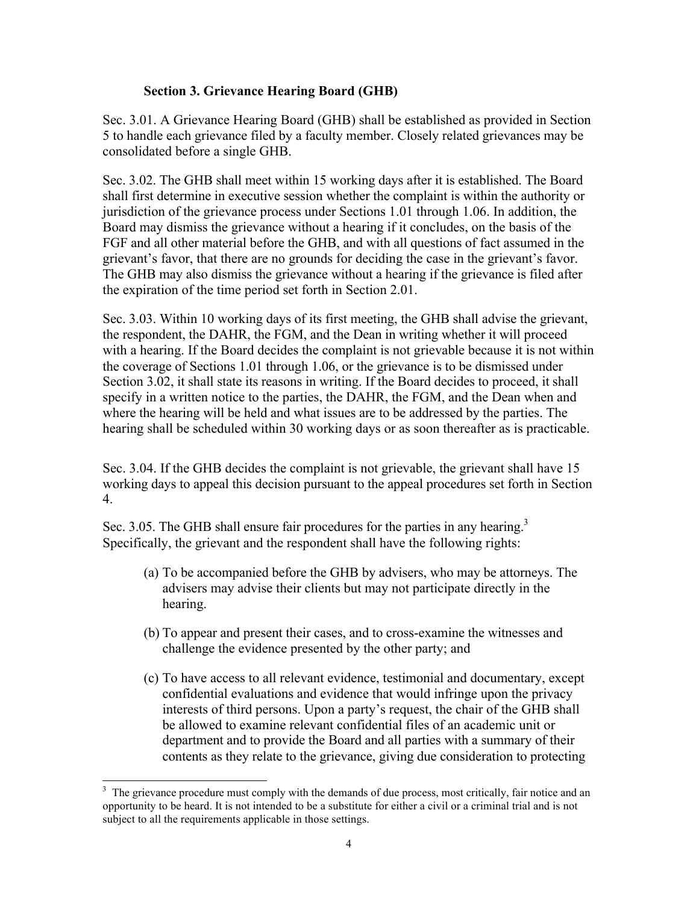# **Section 3. Grievance Hearing Board (GHB)**

Sec. 3.01. A Grievance Hearing Board (GHB) shall be established as provided in Section 5 to handle each grievance filed by a faculty member. Closely related grievances may be consolidated before a single GHB.

Sec. 3.02. The GHB shall meet within 15 working days after it is established. The Board shall first determine in executive session whether the complaint is within the authority or jurisdiction of the grievance process under Sections 1.01 through 1.06. In addition, the Board may dismiss the grievance without a hearing if it concludes, on the basis of the FGF and all other material before the GHB, and with all questions of fact assumed in the grievant's favor, that there are no grounds for deciding the case in the grievant's favor. The GHB may also dismiss the grievance without a hearing if the grievance is filed after the expiration of the time period set forth in Section 2.01.

Sec. 3.03. Within 10 working days of its first meeting, the GHB shall advise the grievant, the respondent, the DAHR, the FGM, and the Dean in writing whether it will proceed with a hearing. If the Board decides the complaint is not grievable because it is not within the coverage of Sections 1.01 through 1.06, or the grievance is to be dismissed under Section 3.02, it shall state its reasons in writing. If the Board decides to proceed, it shall specify in a written notice to the parties, the DAHR, the FGM, and the Dean when and where the hearing will be held and what issues are to be addressed by the parties. The hearing shall be scheduled within 30 working days or as soon thereafter as is practicable.

Sec. 3.04. If the GHB decides the complaint is not grievable, the grievant shall have 15 working days to appeal this decision pursuant to the appeal procedures set forth in Section 4.

Sec. 3.05. The GHB shall ensure fair procedures for the parties in any hearing.<sup>3</sup> Specifically, the grievant and the respondent shall have the following rights:

- (a) To be accompanied before the GHB by advisers, who may be attorneys. The advisers may advise their clients but may not participate directly in the hearing.
- (b) To appear and present their cases, and to cross-examine the witnesses and challenge the evidence presented by the other party; and
- (c) To have access to all relevant evidence, testimonial and documentary, except confidential evaluations and evidence that would infringe upon the privacy interests of third persons. Upon a party's request, the chair of the GHB shall be allowed to examine relevant confidential files of an academic unit or department and to provide the Board and all parties with a summary of their contents as they relate to the grievance, giving due consideration to protecting

The grievance procedure must comply with the demands of due process, most critically, fair notice and an opportunity to be heard. It is not intended to be a substitute for either a civil or a criminal trial and is not subject to all the requirements applicable in those settings.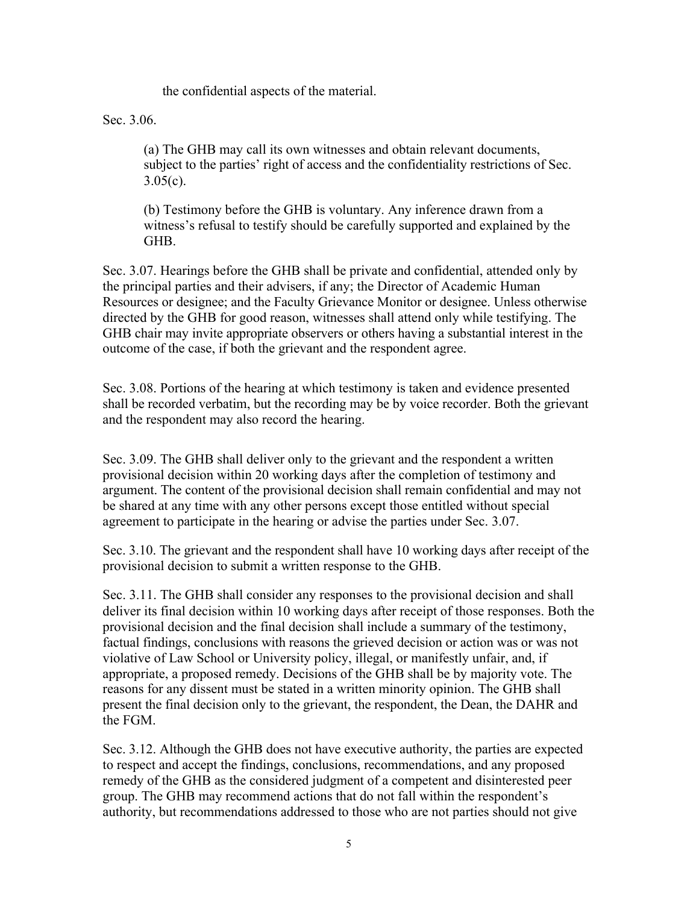the confidential aspects of the material.

Sec. 3.06.

(a) The GHB may call its own witnesses and obtain relevant documents, subject to the parties' right of access and the confidentiality restrictions of Sec.  $3.05(c)$ .

(b) Testimony before the GHB is voluntary. Any inference drawn from a witness's refusal to testify should be carefully supported and explained by the GHB.

Sec. 3.07. Hearings before the GHB shall be private and confidential, attended only by the principal parties and their advisers, if any; the Director of Academic Human Resources or designee; and the Faculty Grievance Monitor or designee. Unless otherwise directed by the GHB for good reason, witnesses shall attend only while testifying. The GHB chair may invite appropriate observers or others having a substantial interest in the outcome of the case, if both the grievant and the respondent agree.

Sec. 3.08. Portions of the hearing at which testimony is taken and evidence presented shall be recorded verbatim, but the recording may be by voice recorder. Both the grievant and the respondent may also record the hearing.

Sec. 3.09. The GHB shall deliver only to the grievant and the respondent a written provisional decision within 20 working days after the completion of testimony and argument. The content of the provisional decision shall remain confidential and may not be shared at any time with any other persons except those entitled without special agreement to participate in the hearing or advise the parties under Sec. 3.07.

Sec. 3.10. The grievant and the respondent shall have 10 working days after receipt of the provisional decision to submit a written response to the GHB.

Sec. 3.11. The GHB shall consider any responses to the provisional decision and shall deliver its final decision within 10 working days after receipt of those responses. Both the provisional decision and the final decision shall include a summary of the testimony, factual findings, conclusions with reasons the grieved decision or action was or was not violative of Law School or University policy, illegal, or manifestly unfair, and, if appropriate, a proposed remedy. Decisions of the GHB shall be by majority vote. The reasons for any dissent must be stated in a written minority opinion. The GHB shall present the final decision only to the grievant, the respondent, the Dean, the DAHR and the FGM.

Sec. 3.12. Although the GHB does not have executive authority, the parties are expected to respect and accept the findings, conclusions, recommendations, and any proposed remedy of the GHB as the considered judgment of a competent and disinterested peer group. The GHB may recommend actions that do not fall within the respondent's authority, but recommendations addressed to those who are not parties should not give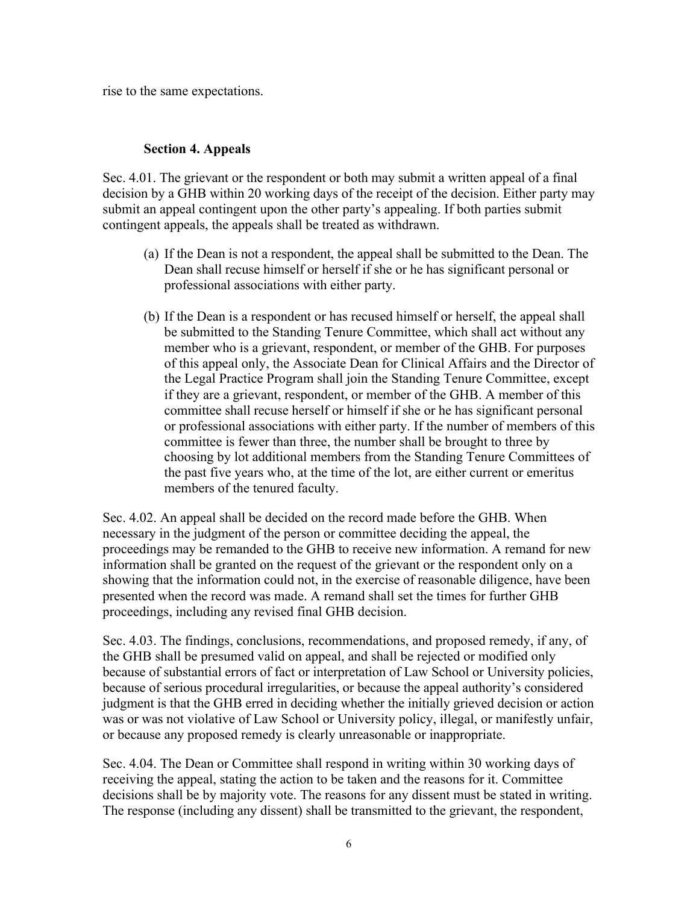rise to the same expectations.

## **Section 4. Appeals**

Sec. 4.01. The grievant or the respondent or both may submit a written appeal of a final decision by a GHB within 20 working days of the receipt of the decision. Either party may submit an appeal contingent upon the other party's appealing. If both parties submit contingent appeals, the appeals shall be treated as withdrawn.

- (a) If the Dean is not a respondent, the appeal shall be submitted to the Dean. The Dean shall recuse himself or herself if she or he has significant personal or professional associations with either party.
- (b) If the Dean is a respondent or has recused himself or herself, the appeal shall be submitted to the Standing Tenure Committee, which shall act without any member who is a grievant, respondent, or member of the GHB. For purposes of this appeal only, the Associate Dean for Clinical Affairs and the Director of the Legal Practice Program shall join the Standing Tenure Committee, except if they are a grievant, respondent, or member of the GHB. A member of this committee shall recuse herself or himself if she or he has significant personal or professional associations with either party. If the number of members of this committee is fewer than three, the number shall be brought to three by choosing by lot additional members from the Standing Tenure Committees of the past five years who, at the time of the lot, are either current or emeritus members of the tenured faculty.

Sec. 4.02. An appeal shall be decided on the record made before the GHB. When necessary in the judgment of the person or committee deciding the appeal, the proceedings may be remanded to the GHB to receive new information. A remand for new information shall be granted on the request of the grievant or the respondent only on a showing that the information could not, in the exercise of reasonable diligence, have been presented when the record was made. A remand shall set the times for further GHB proceedings, including any revised final GHB decision.

Sec. 4.03. The findings, conclusions, recommendations, and proposed remedy, if any, of the GHB shall be presumed valid on appeal, and shall be rejected or modified only because of substantial errors of fact or interpretation of Law School or University policies, because of serious procedural irregularities, or because the appeal authority's considered judgment is that the GHB erred in deciding whether the initially grieved decision or action was or was not violative of Law School or University policy, illegal, or manifestly unfair, or because any proposed remedy is clearly unreasonable or inappropriate.

Sec. 4.04. The Dean or Committee shall respond in writing within 30 working days of receiving the appeal, stating the action to be taken and the reasons for it. Committee decisions shall be by majority vote. The reasons for any dissent must be stated in writing. The response (including any dissent) shall be transmitted to the grievant, the respondent,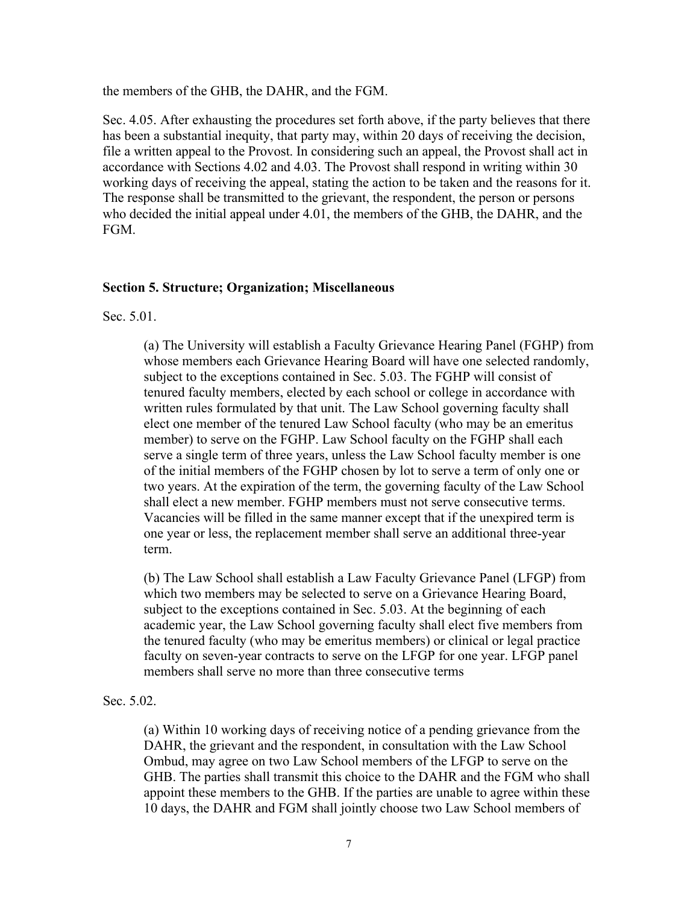the members of the GHB, the DAHR, and the FGM.

Sec. 4.05. After exhausting the procedures set forth above, if the party believes that there has been a substantial inequity, that party may, within 20 days of receiving the decision, file a written appeal to the Provost. In considering such an appeal, the Provost shall act in accordance with Sections 4.02 and 4.03. The Provost shall respond in writing within 30 working days of receiving the appeal, stating the action to be taken and the reasons for it. The response shall be transmitted to the grievant, the respondent, the person or persons who decided the initial appeal under 4.01, the members of the GHB, the DAHR, and the FGM.

### **Section 5. Structure; Organization; Miscellaneous**

Sec. 5.01.

(a) The University will establish a Faculty Grievance Hearing Panel (FGHP) from whose members each Grievance Hearing Board will have one selected randomly, subject to the exceptions contained in Sec. 5.03. The FGHP will consist of tenured faculty members, elected by each school or college in accordance with written rules formulated by that unit. The Law School governing faculty shall elect one member of the tenured Law School faculty (who may be an emeritus member) to serve on the FGHP. Law School faculty on the FGHP shall each serve a single term of three years, unless the Law School faculty member is one of the initial members of the FGHP chosen by lot to serve a term of only one or two years. At the expiration of the term, the governing faculty of the Law School shall elect a new member. FGHP members must not serve consecutive terms. Vacancies will be filled in the same manner except that if the unexpired term is one year or less, the replacement member shall serve an additional three-year term.

(b) The Law School shall establish a Law Faculty Grievance Panel (LFGP) from which two members may be selected to serve on a Grievance Hearing Board, subject to the exceptions contained in Sec. 5.03. At the beginning of each academic year, the Law School governing faculty shall elect five members from the tenured faculty (who may be emeritus members) or clinical or legal practice faculty on seven-year contracts to serve on the LFGP for one year. LFGP panel members shall serve no more than three consecutive terms

### Sec. 5.02.

(a) Within 10 working days of receiving notice of a pending grievance from the DAHR, the grievant and the respondent, in consultation with the Law School Ombud, may agree on two Law School members of the LFGP to serve on the GHB. The parties shall transmit this choice to the DAHR and the FGM who shall appoint these members to the GHB. If the parties are unable to agree within these 10 days, the DAHR and FGM shall jointly choose two Law School members of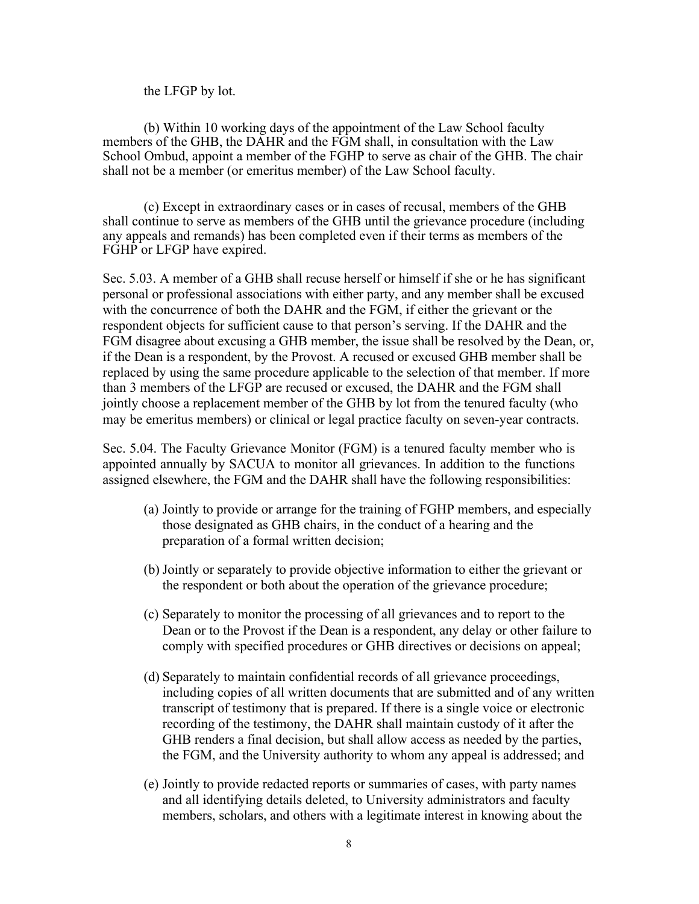the LFGP by lot.

(b) Within 10 working days of the appointment of the Law School faculty members of the GHB, the DAHR and the FGM shall, in consultation with the Law School Ombud, appoint a member of the FGHP to serve as chair of the GHB. The chair shall not be a member (or emeritus member) of the Law School faculty.

(c) Except in extraordinary cases or in cases of recusal, members of the GHB shall continue to serve as members of the GHB until the grievance procedure (including any appeals and remands) has been completed even if their terms as members of the FGHP or LFGP have expired.

Sec. 5.03. A member of a GHB shall recuse herself or himself if she or he has significant personal or professional associations with either party, and any member shall be excused with the concurrence of both the DAHR and the FGM, if either the grievant or the respondent objects for sufficient cause to that person's serving. If the DAHR and the FGM disagree about excusing a GHB member, the issue shall be resolved by the Dean, or, if the Dean is a respondent, by the Provost. A recused or excused GHB member shall be replaced by using the same procedure applicable to the selection of that member. If more than 3 members of the LFGP are recused or excused, the DAHR and the FGM shall jointly choose a replacement member of the GHB by lot from the tenured faculty (who may be emeritus members) or clinical or legal practice faculty on seven-year contracts.

Sec. 5.04. The Faculty Grievance Monitor (FGM) is a tenured faculty member who is appointed annually by SACUA to monitor all grievances. In addition to the functions assigned elsewhere, the FGM and the DAHR shall have the following responsibilities:

- (a) Jointly to provide or arrange for the training of FGHP members, and especially those designated as GHB chairs, in the conduct of a hearing and the preparation of a formal written decision;
- (b) Jointly or separately to provide objective information to either the grievant or the respondent or both about the operation of the grievance procedure;
- (c) Separately to monitor the processing of all grievances and to report to the Dean or to the Provost if the Dean is a respondent, any delay or other failure to comply with specified procedures or GHB directives or decisions on appeal;
- (d) Separately to maintain confidential records of all grievance proceedings, including copies of all written documents that are submitted and of any written transcript of testimony that is prepared. If there is a single voice or electronic recording of the testimony, the DAHR shall maintain custody of it after the GHB renders a final decision, but shall allow access as needed by the parties, the FGM, and the University authority to whom any appeal is addressed; and
- (e) Jointly to provide redacted reports or summaries of cases, with party names and all identifying details deleted, to University administrators and faculty members, scholars, and others with a legitimate interest in knowing about the